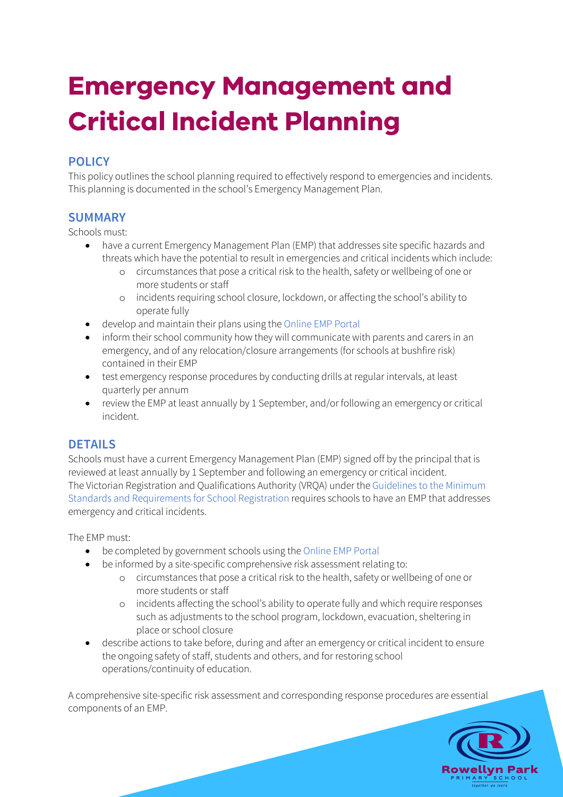# **Emergency Management and Critical Incident Planning**

## **POLICY**

This policy outlines the school planning required to effectively respond to emergencies and incidents. This planning is documented in the school's Emergency Management Plan.

#### **SUMMARY**

Schools must:

- have a current Emergency Management Plan (EMP) that addresses site specific hazards and threats which have the potential to result in emergencies and critical incidents which include:
	- o circumstances that pose a critical risk to the health, safety or wellbeing of one or more students or staff
	- o incidents requiring school closure, lockdown, or affecting the school's ability to operate fully
- develop and maintain their plans using the Online EMP Portal
- inform their school community how they will communicate with parents and carers in an emergency, and of any relocation/closure arrangements (for schools at bushfire risk) contained in their EMP
- test emergency response procedures by conducting drills at regular intervals, at least quarterly per annum
- review the EMP at least annually by 1 September, and/or following an emergency or critical incident.

### **DETAILS**

Schools must have a current Emergency Management Plan (EMP) signed off by the principal that is reviewed at least annually by 1 September and following an emergency or critical incident. The Victorian Registration and Qualifications Authority (VRQA) under the Guidelines to the Minimum Standards and Requirements for School Registration requires schools to have an EMP that addresses emergency and critical incidents.

The EMP must:

- be completed by government schools using the Online EMP Portal
- be informed by a site-specific comprehensive risk assessment relating to:
	- o circumstances that pose a critical risk to the health, safety or wellbeing of one or more students or staff
	- o incidents affecting the school's ability to operate fully and which require responses such as adjustments to the school program, lockdown, evacuation, sheltering in place or school closure
- describe actions to take before, during and after an emergency or critical incident to ensure the ongoing safety of staff, students and others, and for restoring school operations/continuity of education.

A comprehensive site-specific risk assessment and corresponding response procedures are essential components of an EMP.

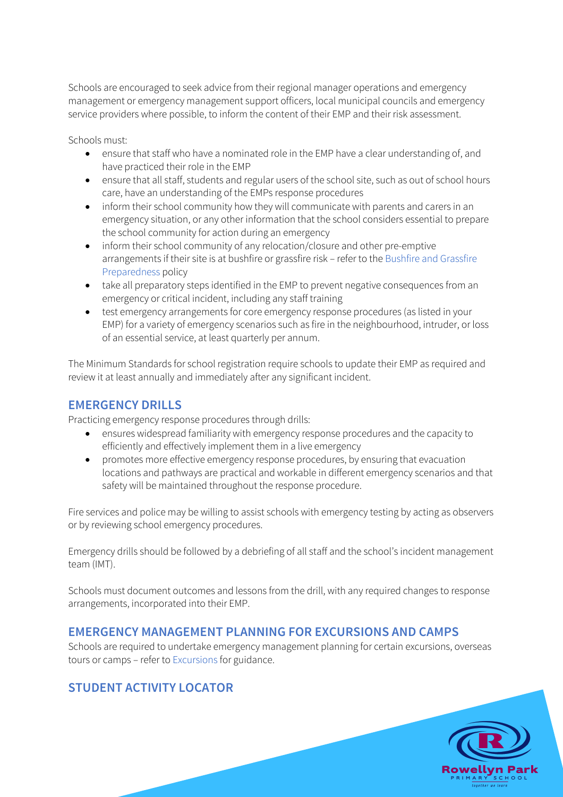Schools are encouraged to seek advice from their regional manager operations and emergency management or emergency management support officers, local municipal councils and emergency service providers where possible, to inform the content of their EMP and their risk assessment.

Schools must:

- ensure that staff who have a nominated role in the EMP have a clear understanding of, and have practiced their role in the EMP
- ensure that all staff, students and regular users of the school site, such as out of school hours care, have an understanding of the EMPs response procedures
- inform their school community how they will communicate with parents and carers in an emergency situation, or any other information that the school considers essential to prepare the school community for action during an emergency
- inform their school community of any relocation/closure and other pre-emptive arrangements if their site is at bushfire or grassfire risk – refer to the Bushfire and Grassfire Preparedness policy
- take all preparatory steps identified in the EMP to prevent negative consequences from an emergency or critical incident, including any staff training
- test emergency arrangements for core emergency response procedures (as listed in your EMP) for a variety of emergency scenarios such as fire in the neighbourhood, intruder, or loss of an essential service, at least quarterly per annum.

The Minimum Standards for school registration require schools to update their EMP as required and review it at least annually and immediately after any significant incident.

#### **EMERGENCY DRILLS**

Practicing emergency response procedures through drills:

- ensures widespread familiarity with emergency response procedures and the capacity to efficiently and effectively implement them in a live emergency
- promotes more effective emergency response procedures, by ensuring that evacuation locations and pathways are practical and workable in different emergency scenarios and that safety will be maintained throughout the response procedure.

Fire services and police may be willing to assist schools with emergency testing by acting as observers or by reviewing school emergency procedures.

Emergency drills should be followed by a debriefing of all staff and the school's incident management team (IMT).

Schools must document outcomes and lessons from the drill, with any required changes to response arrangements, incorporated into their EMP.

#### **EMERGENCY MANAGEMENT PLANNING FOR EXCURSIONS AND CAMPS**

Schools are required to undertake emergency management planning for certain excursions, overseas tours or camps – refer to Excursions for guidance.

## **STUDENT ACTIVITY LOCATOR**

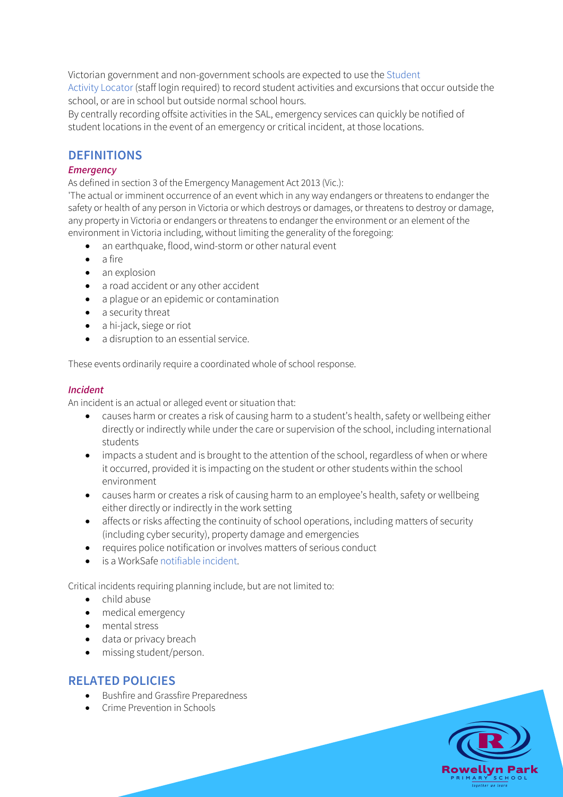Victorian government and non-government schools are expected to use the Student Activity Locator (staff login required) to record student activities and excursions that occur outside the school, or are in school but outside normal school hours.

By centrally recording offsite activities in the SAL, emergency services can quickly be notified of student locations in the event of an emergency or critical incident, at those locations.

#### **DEFINITIONS**

#### *Emergency*

As defined in section 3 of the Emergency Management Act 2013 (Vic.):

'The actual or imminent occurrence of an event which in any way endangers or threatens to endanger the safety or health of any person in Victoria or which destroys or damages, or threatens to destroy or damage, any property in Victoria or endangers or threatens to endanger the environment or an element of the environment in Victoria including, without limiting the generality of the foregoing:

- an earthquake, flood, wind-storm or other natural event
- a fire
- an explosion
- a road accident or any other accident
- a plague or an epidemic or contamination
- a security threat
- a hi-jack, siege or riot
- a disruption to an essential service.

These events ordinarily require a coordinated whole of school response.

#### *Incident*

An incident is an actual or alleged event or situation that:

- causes harm or creates a risk of causing harm to a student's health, safety or wellbeing either directly or indirectly while under the care or supervision of the school, including international students
- impacts a student and is brought to the attention of the school, regardless of when or where it occurred, provided it is impacting on the student or other students within the school environment
- causes harm or creates a risk of causing harm to an employee's health, safety or wellbeing either directly or indirectly in the work setting
- affects or risks affecting the continuity of school operations, including matters of security (including cyber security), property damage and emergencies
- requires police notification or involves matters of serious conduct
- is a WorkSafe notifiable incident.

Critical incidents requiring planning include, but are not limited to:

- child abuse
- medical emergency
- mental stress
- data or privacy breach
- missing student/person.

#### **RELATED POLICIES**

- Bushfire and Grassfire Preparedness
- Crime Prevention in Schools